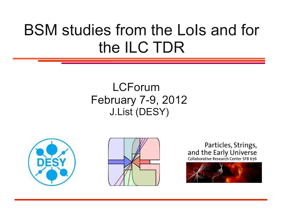# BSM studies from the LoIs and for the ILC TDR

#### LCForum February 7-9, 2012 J.List (DESY)







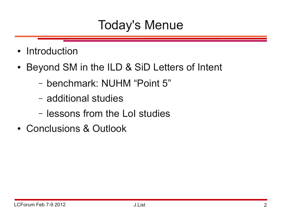# Today's Menue

- Introduction
- Beyond SM in the ILD & SiD Letters of Intent
	- benchmark: NUHM "Point 5"
	- additional studies
	- lessons from the LoI studies
- Conclusions & Outlook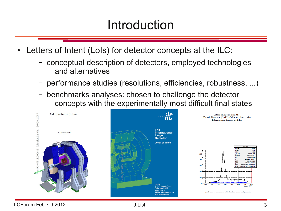# Introduction

- Letters of Intent (LoIs) for detector concepts at the ILC:
	- conceptual description of detectors, employed technologies and alternatives
	- performance studies (resolutions, efficiencies, robustness, ...)
	- benchmarks analyses: chosen to challenge the detector concepts with the experimentally most difficult final states



185.3

 $25.6$ 291.061 / 173  $10052.7 \pm 118.$  $174.206 \pm 0.059$ 4 65446 + 0 05528  $-208.198 \pm 3.26$  $1.74404 \pm 0.0302$ 

97843e-05 + 7 29270e-0

240 Mass. GeV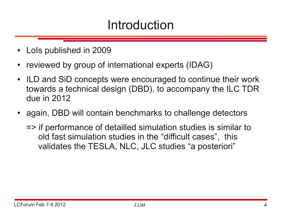# Introduction

- LoIs published in 2009
- reviewed by group of international experts (IDAG)
- ILD and SiD concepts were encouraged to continue their work towards a technical design (DBD), to accompany the ILC TDR due in 2012
- again, DBD will contain benchmarks to challenge detectors
	- => if performance of detailled simulation studies is similar to old fast simulation studies in the "difficult cases", this validates the TESLA, NLC, JLC studies "a posteriori"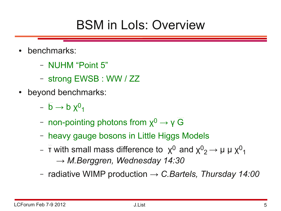# BSM in LoIs: Overview

- benchmarks:
	- NUHM "Point 5"
	- strong EWSB : WW / ZZ
- beyond benchmarks:
	- $\stackrel{\sim}{\mathsf{D}} \rightarrow$  b  $\chi^0$ <sub>1</sub>
	- non-pointing photons from  $x^0 \rightarrow v \widetilde{G}$
	- heavy gauge bosons in Little Higgs Models
	- $\stackrel{\sim}{}$  π with small mass difference to  $\hspace{0.1 cm}$   $\hspace{0.1 cm}$   $\hspace{0.1 cm}$  and  $\hspace{0.1 cm}$   $\hspace{0.1 cm}$   $\hspace{0.1 cm}$   $\hspace{0.1 cm}$   $\hspace{0.1 cm}$   $\hspace{0.1 cm}$   $\hspace{0.1 cm}$   $\hspace{0.1 cm}$   $\hspace{0.1 cm}$   $\hspace{0.1 cm}$   $\hspace{0.1 cm}$   $\hspace$ *→ M.Berggren, Wednesday 14:30*
	- radiative WIMP production *→ C.Bartels, Thursday 14:00*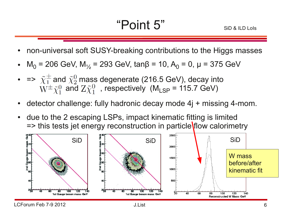- non-universal soft SUSY-breaking contributions to the Higgs masses
- M<sub>0</sub> = 206 GeV, M<sub>1/2</sub> = 293 GeV, tanβ = 10, A<sub>0</sub> = 0, μ = 375 GeV
- =>  $\tilde{\chi}^{\pm}_1$  and  $\tilde{\chi}^0_2$  mass degenerate (216.5 GeV), decay into  $W^{\pm} \tilde{\chi}_{1}^{0}$  and  $Z \tilde{\chi}_{1}^{0}$ , respectively (M<sub>LSP</sub> = 115.7 GeV)
- detector challenge: fully hadronic decay mode  $4j +$  missing 4-mom.
- due to the 2 escaping LSPs, impact kinematic fitting is limited => this tests jet energy reconstruction in particle flow calorimetry

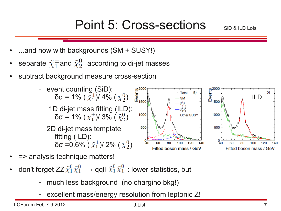# Point 5: Cross-sections

g<sup>2000</sup><br>こ<br>山<sub>1500</sub>

1000

500

80

100

- ...and now with backgrounds  $(SM + SUSY!)$
- separate  $\tilde{\chi}_{1}^{\pm}$  and  $\tilde{\chi}_{2}^{0}$  according to di-jet masses
- subtract background measure cross-section
	- event counting (SiD): δσ = 1% (  $\tilde{\chi}_{1}^{\pm}$ )/ 4% (  $\tilde{\chi}_{2}^{0}$ )
	- 1D di-jet mass fitting (ILD): δσ = 1% (  $\tilde{\chi}_{1}^{\pm}$ )/ 3% (  $\tilde{\chi}_{2}^{0}$ )
	- 2D di-jet mass template fitting (ILD): δσ = 0.6%  $(\tilde{\chi}_1^{\pm})$ / 2% (  $\tilde{\chi}_2^0$ )
- => analysis technique matters!
- don't forget ZZ  $\tilde{\chi}_1^0 \tilde{\chi}_1^0 \rightarrow$  qqll  $\tilde{\chi}_1^0 \tilde{\chi}_1^0$  : lower statistics, but
	- much less background (no chargino bkg!)
	- excellent mass/energy resolution from leptonic Z!

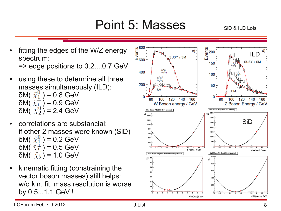### Point 5: Masses

- fitting the edges of the  $W/Z$  energy spectrum: => edge positions to 0.2....0.7 GeV
- using these to determine all three masses simultaneously (ILD): δM(  $\tilde{\chi}_{1}^{0}$  ) = 0.8 GeV δM( $\tilde{\chi}_{1}^{\pm}$ ) = 0.9 GeV δM( $\tilde{\chi}_2^0$ ) = 2.4 GeV
- correlations are substancial: if other 2 masses were known (SiD) δM(  $\tilde{\chi}_{1}^{0}$  ) = 0.2 GeV δM(  $\tilde{\chi}_1^{\pm}$  ) = 0.5 GeV δM( $\tilde{\chi}_2^0$ ) = 1.0 GeV
- kinematic fitting (constraining the vector boson masses) still helps: w/o kin. fit, mass resolution is worse by 0.5...1.1 GeV !

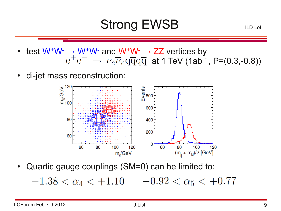# Strong EWSB

ILD LoI

- test  $W^+W^- \to W^+W^-$  and  $W^+W^- \to ZZ$  vertices by  $\mathrm{e^+e^-} \,\to\, \nu_e \overline{\nu}_e \mathrm{q\overline{q} q\overline{q}}\,$  at 1 TeV (1ab<sup>-1</sup>, P=(0.3,-0.8))
- di-jet mass reconstruction:



Quartic gauge couplings (SM=0) can be limited to:

 $-1.38 < \alpha_4 < +1.10$   $-0.92 < \alpha_5 < +0.77$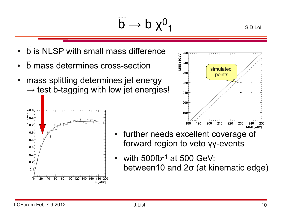$\ddot{\mathsf{b}} \rightarrow \mathsf{b} \times^0 \mathsf{d}$ 

- $\bullet$   $\tilde{b}$  is NLSP with small mass difference
- b mass determines cross-section
- mass splitting determines jet energy  $\rightarrow$  test b-tagging with low jet energies!





SiD LoI

- further needs excellent coverage of forward region to veto γγ-events
- with  $500$ fb<sup>-1</sup> at  $500$  GeV: between10 and 2σ (at kinematic edge)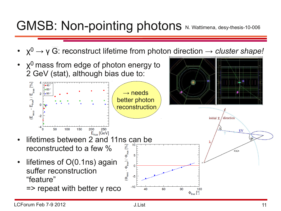# GMSB: Non-pointing photons N. Wattimena, desy-thesis-10-006

•  $\chi^0 \to \gamma \widetilde{G}$ : reconstruct lifetime from photon direction  $\to$  *cluster shape!* 

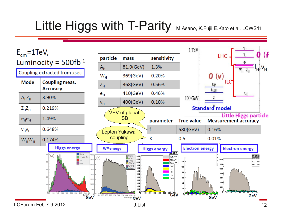# Little Higgs with T-Parity M.Asano, K.Fujii,E.Kato et al, LCWS11

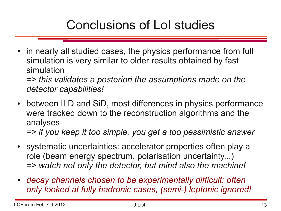# Conclusions of LoI studies

• in nearly all studied cases, the physics performance from full simulation is very similar to older results obtained by fast simulation

*=> this validates a posteriori the assumptions made on the detector capabilities!*

- between ILD and SiD, most differences in physics performance were tracked down to the reconstruction algorithms and the analyses *=> if you keep it too simple, you get a too pessimistic answer*
- systematic uncertainties: accelerator properties often play a role (beam energy spectrum, polarisation uncertainty...) *=> watch not only the detector, but mind also the machine!*
- *decay channels chosen to be experimentally difficult: often only looked at fully hadronic cases, (semi-) leptonic ignored!*